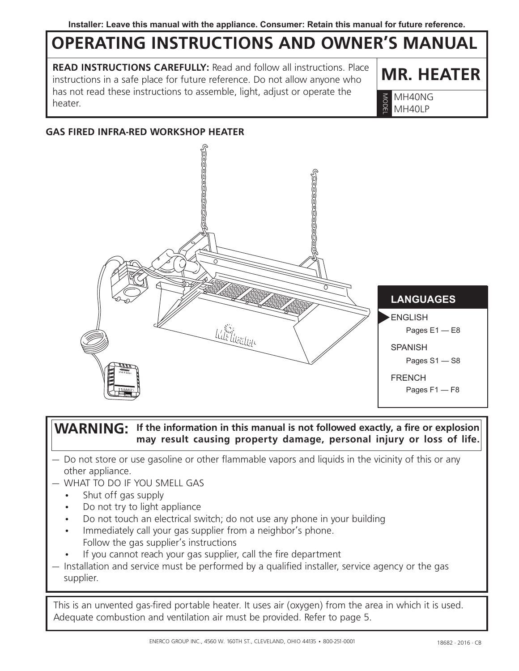# **Operating Instructions and Owner's Manual**

**READ INSTRUCTIONS CAREFULLY:** Read and follow all instructions. Place instructions in a safe place for future reference. Do not allow anyone who has not read these instructions to assemble, light, adjust or operate the  $\frac{1}{3}$  MH40NG<br>heater.

**MR. HEATER**

MH40LP Model

#### **GAS FIRED INFRA-RED WORKSHOP HEATER**



#### **WARNING:** If the information in this manual is not followed exactly, a fire or explosion **may result causing property damage, personal injury or loss of life.**

- Do not store or use gasoline or other flammable vapors and liquids in the vicinity of this or any other appliance.
- WHAT TO DO IF YOU SMELL GAS
	- Shut off gas supply
	- Do not try to light appliance
	- Do not touch an electrical switch; do not use any phone in your building
	- Immediately call your gas supplier from a neighbor's phone. Follow the gas supplier's instructions
	- If you cannot reach your gas supplier, call the fire department
- Installation and service must be performed by a qualified installer, service agency or the gas supplier.

This is an unvented gas-fired portable heater. It uses air (oxygen) from the area in which it is used. Adequate combustion and ventilation air must be provided. Refer to page 5.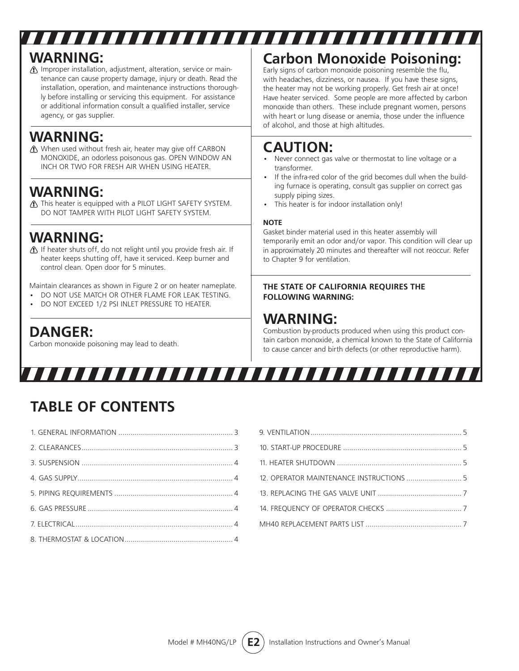# **WARNING:**

Improper installation, adjustment, alteration, service or maintenance can cause property damage, injury or death. Read the installation, operation, and maintenance instructions thoroughly before installing or servicing this equipment. For assistance or additional information consult a qualified installer, service agency, or gas supplier.

### **WARNING:**

When used without fresh air, heater may give off CARBON MONOXIDE, an odorless poisonous gas. OPEN WINDOW AN INCH OR TWO FOR FRESH AIR WHEN USING HEATER.

### **WARNING:**

This heater is equipped with a PILOT LIGHT SAFETY SYSTEM. DO NOT TAMPER WITH PILOT LIGHT SAFETY SYSTEM.

### **WARNING:**

If heater shuts off, do not relight until you provide fresh air. If heater keeps shutting off, have it serviced. Keep burner and control clean. Open door for 5 minutes.

Maintain clearances as shown in Figure 2 or on heater nameplate.

- DO NOT USE MATCH OR OTHER FLAME FOR LEAK TESTING.
- DO NOT EXCEED 1/2 PSI INLET PRESSURE TO HEATER.

### **DANGER:**

Carbon monoxide poisoning may lead to death.

# **Carbon Monoxide Poisoning:**

Early signs of carbon monoxide poisoning resemble the flu, with headaches, dizziness, or nausea. If you have these signs, the heater may not be working properly. Get fresh air at once! Have heater serviced. Some people are more affected by carbon monoxide than others. These include pregnant women, persons with heart or lung disease or anemia, those under the influence of alcohol, and those at high altitudes.

### **CAUTION:**

- Never connect gas valve or thermostat to line voltage or a transformer.
- If the infra-red color of the grid becomes dull when the building furnace is operating, consult gas supplier on correct gas supply piping sizes.
- This heater is for indoor installation only!

#### **NOTE**

,,,,,,,,,,,,,,,,,,,,,,,,,,,,,,,,,,

Gasket binder material used in this heater assembly will temporarily emit an odor and/or vapor. This condition will clear up in approximately 20 minutes and thereafter will not reoccur. Refer to Chapter 9 for ventilation.

#### **THE STATE OF CALIFORNIA REQUIRES THE FOLLOWING WARNING:**

# **WARNING:**

Combustion by-products produced when using this product contain carbon monoxide, a chemical known to the State of California to cause cancer and birth defects (or other reproductive harm).

# 7777777777777777777777777777

# **TABLE OF CONTENTS**

| 12. OPERATOR MAINTENANCE INSTRUCTIONS  5 |  |
|------------------------------------------|--|
|                                          |  |
|                                          |  |
|                                          |  |
|                                          |  |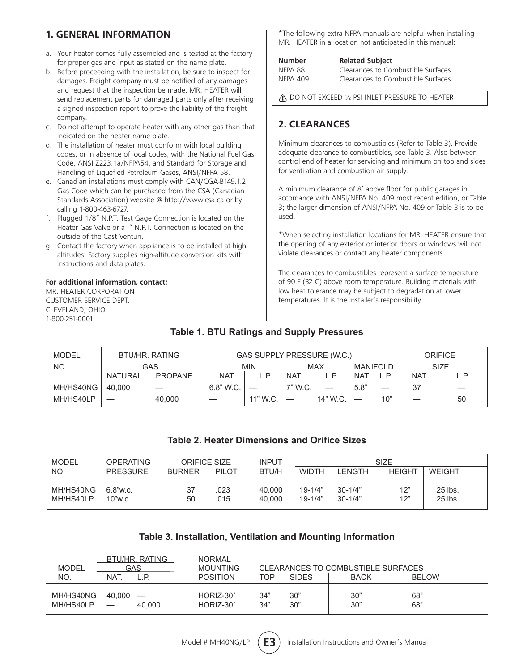#### **1. GENERAL INFORMATION**

- a. Your heater comes fully assembled and is tested at the factory for proper gas and input as stated on the name plate.
- b. Before proceeding with the installation, be sure to inspect for damages. Freight company must be notified of any damages and request that the inspection be made. MR. HEATER will send replacement parts for damaged parts only after receiving a signed inspection report to prove the liability of the freight company.
- c. Do not attempt to operate heater with any other gas than that indicated on the heater name plate.
- d. The installation of heater must conform with local building codes, or in absence of local codes, with the National Fuel Gas Code, ANSI Z223.1a/NFPA54, and Standard for Storage and Handling of Liquefied Petroleum Gases, ANSI/NFPA 58.
- e. Canadian installations must comply with CAN/CGA-B149.1.2 Gas Code which can be purchased from the CSA (Canadian Standards Association) website @ http://www.csa.ca or by calling 1-800-463-6727.
- f. Plugged 1/8" N.P.T. Test Gage Connection is located on the Heater Gas Valve or a " N.P.T. Connection is located on the outside of the Cast Venturi.
- g. Contact the factory when appliance is to be installed at high altitudes. Factory supplies high-altitude conversion kits with instructions and data plates.

#### **For additional information, contact;**

MR. HEATER CORPORATION CUSTOMER SERVICE DEPT. CLEVELAND, OHIO 1-800-251-0001

\*The following extra NFPA manuals are helpful when installing MR. HEATER in a location not anticipated in this manual:

| Number   | <b>Related Subject</b>             |  |  |  |  |  |
|----------|------------------------------------|--|--|--|--|--|
| NFPA 88  | Clearances to Combustible Surfaces |  |  |  |  |  |
| NFPA 409 | Clearances to Combustible Surfaces |  |  |  |  |  |

**A** DO NOT EXCEED 1/2 PSI INLET PRESSURE TO HEATER

#### **2. CLEARANCES**

Minimum clearances to combustibles (Refer to Table 3). Provide adequate clearance to combustibles, see Table 3. Also between control end of heater for servicing and minimum on top and sides for ventilation and combustion air supply.

A minimum clearance of 8' above floor for public garages in accordance with ANSI/NFPA No. 409 most recent edition, or Table 3; the larger dimension of ANSI/NFPA No. 409 or Table 3 is to be used.

\*When selecting installation locations for MR. HEATER ensure that the opening of any exterior or interior doors or windows will not violate clearances or contact any heater components.

The clearances to combustibles represent a surface temperature of 90 F (32 C) above room temperature. Building materials with low heat tolerance may be subject to degradation at lower temperatures. It is the installer's responsibility.

#### **Table 1. BTU Ratings and Supply Pressures**

| <b>MODEL</b> | BTU/HR, RATING |                | GAS SUPPLY PRESSURE (W.C.) |          |         |          |                 |      | <b>ORIFICE</b> |    |
|--------------|----------------|----------------|----------------------------|----------|---------|----------|-----------------|------|----------------|----|
| NO.          |                | GAS            |                            | MIN.     | MAX.    |          | <b>MANIFOLD</b> |      | <b>SIZE</b>    |    |
|              | <b>NATURAL</b> | <b>PROPANE</b> | NAT.                       | L.P.     | NAT.    | L.P.     | NAT.            | ∟.P∶ | NAT.           |    |
| MH/HS40NG    | 40.000         |                | 6.8" W.C.                  |          | 7" W.C. |          | 5.8"            |      | 37             |    |
| MH/HS40LP    |                | 40,000         |                            | 11" W.C. |         | 14" W.C. |                 | 10"  |                | 50 |

#### **Table 2. Heater Dimensions and Orifice Sizes**

| MODEL                  | <b>OPERATING</b>       | <b>ORIFICE SIZE</b> |              | <b>INPUT</b>     | SIZE                       |                            |               |                    |
|------------------------|------------------------|---------------------|--------------|------------------|----------------------------|----------------------------|---------------|--------------------|
| NO.                    | <b>PRESSURE</b>        | <b>BURNER</b>       | <b>PILOT</b> | <b>BTU/H</b>     | <b>WIDTH</b>               | _ENGTH                     | <b>HEIGHT</b> | WEIGHT             |
| MH/HS40NG<br>MH/HS40LP | $6.8$ "w.c.<br>10"w.c. | 37<br>50            | 023<br>.015  | 40.000<br>40.000 | $19 - 1/4"$<br>$19 - 1/4"$ | $30 - 1/4"$<br>$30 - 1/4"$ | 12"<br>12"    | 25 lbs.<br>25 lbs. |

#### **Table 3. Installation, Ventilation and Mounting Information**

| <b>MODEL</b>           | BTU/HR, RATING<br>GAS |        | <b>NORMAL</b><br><b>MOUNTING</b> |            |              | CLEARANCES TO COMBUSTIBLE SURFACES |              |  |
|------------------------|-----------------------|--------|----------------------------------|------------|--------------|------------------------------------|--------------|--|
| NO.                    | <b>NAT</b>            | L.P.   | <b>POSITION</b>                  | TOP        | <b>SIDES</b> | <b>BACK</b>                        | <b>BELOW</b> |  |
| MH/HS40NG<br>MH/HS40LP | 40.000                | 40.000 | HORIZ-30°<br>HORIZ-30°           | 34"<br>34" | 30"<br>30"   | 30"<br>30"                         | 68"<br>68"   |  |

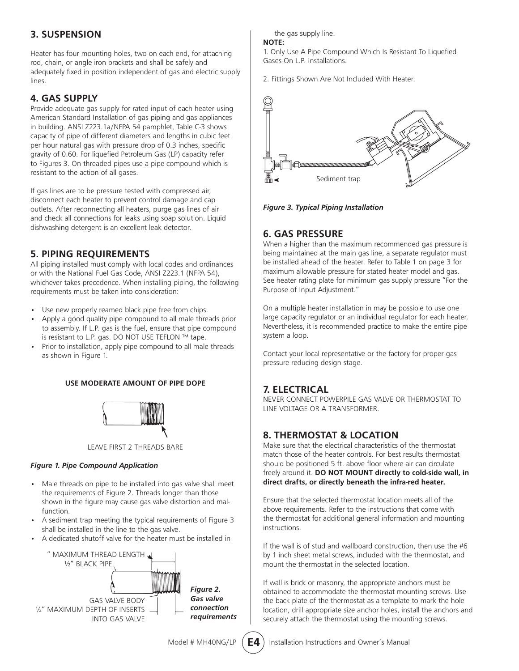#### **3. SUSPENSION**

Heater has four mounting holes, two on each end, for attaching rod, chain, or angle iron brackets and shall be safely and adequately fixed in position independent of gas and electric supply lines.

#### **4. GAS SUPPLY**

Provide adequate gas supply for rated input of each heater using American Standard Installation of gas piping and gas appliances in building. ANSI Z223.1a/NFPA 54 pamphlet, Table C-3 shows capacity of pipe of different diameters and lengths in cubic feet per hour natural gas with pressure drop of 0.3 inches, specific gravity of 0.60. For liquefied Petroleum Gas (LP) capacity refer to Figures 3. On threaded pipes use a pipe compound which is resistant to the action of all gases.

If gas lines are to be pressure tested with compressed air, disconnect each heater to prevent control damage and cap outlets. After reconnecting all heaters, purge gas lines of air and check all connections for leaks using soap solution. Liquid dishwashing detergent is an excellent leak detector.

#### **5. PIPING REQUIREMENTS**

All piping installed must comply with local codes and ordinances or with the National Fuel Gas Code, ANSI Z223.1 (NFPA 54), whichever takes precedence. When installing piping, the following requirements must be taken into consideration:

- Use new properly reamed black pipe free from chips.
- Apply a good quality pipe compound to all male threads prior to assembly. If L.P. gas is the fuel, ensure that pipe compound is resistant to L.P. gas. DO NOT USE TEFLON ™ tape.
- Prior to installation, apply pipe compound to all male threads as shown in Figure 1.

#### **USE MODERATE AMOUNT OF PIPE DOPE**



LEAVE FIRST 2 THREADS BARE

#### *Figure 1. Pipe Compound Application*

- Male threads on pipe to be installed into gas valve shall meet the requirements of Figure 2. Threads longer than those shown in the figure may cause gas valve distortion and malfunction.
- A sediment trap meeting the typical requirements of Figure 3 shall be installed in the line to the gas valve.
- A dedicated shutoff valve for the heater must be installed in



the gas supply line.

#### **NOTE:**

1. Only Use A Pipe Compound Which Is Resistant To Liquefied Gases On L.P. Installations.

2. Fittings Shown Are Not Included With Heater.



*Figure 3. Typical Piping Installation*

#### **6. GAS PRESSURE**

When a higher than the maximum recommended gas pressure is being maintained at the main gas line, a separate regulator must be installed ahead of the heater. Refer to Table 1 on page 3 for maximum allowable pressure for stated heater model and gas. See heater rating plate for minimum gas supply pressure "For the Purpose of Input Adjustment."

On a multiple heater installation in may be possible to use one large capacity regulator or an individual regulator for each heater. Nevertheless, it is recommended practice to make the entire pipe system a loop.

Contact your local representative or the factory for proper gas pressure reducing design stage.

#### **7. ELECTRICAL**

NEVER CONNECT POWERPILE GAS VALVE OR THERMOSTAT TO LINE VOLTAGE OR A TRANSFORMER.

#### **8. THERMOSTAT & LOCATION**

Make sure that the electrical characteristics of the thermostat match those of the heater controls. For best results thermostat should be positioned 5 ft. above floor where air can circulate freely around it. **DO NOT MOUNT directly to cold-side wall, in direct drafts, or directly beneath the infra-red heater.**

Ensure that the selected thermostat location meets all of the above requirements. Refer to the instructions that come with the thermostat for additional general information and mounting instructions.

If the wall is of stud and wallboard construction, then use the #6 by 1 inch sheet metal screws, included with the thermostat, and mount the thermostat in the selected location.

If wall is brick or masonry, the appropriate anchors must be obtained to accommodate the thermostat mounting screws. Use the back plate of the thermostat as a template to mark the hole location, drill appropriate size anchor holes, install the anchors and securely attach the thermostat using the mounting screws.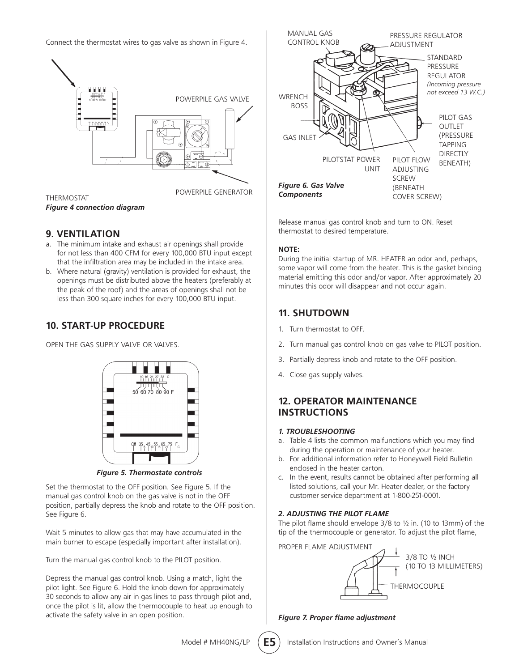Connect the thermostat wires to gas valve as shown in Figure 4.



THERMOSTAT *Figure 4 connection diagram*

#### **9. VENTILATION**

- a. The minimum intake and exhaust air openings shall provide for not less than 400 CFM for every 100,000 BTU input except that the infiltration area may be included in the intake area.
- b. Where natural (gravity) ventilation is provided for exhaust, the openings must be distributed above the heaters (preferably at the peak of the roof) and the areas of openings shall not be less than 300 square inches for every 100,000 BTU input.

#### **10. START-UP PROCEDURE**

OPEN THE GAS SUPPLY VALVE OR VALVES.



*Figure 5. Thermostate controls*

Set the thermostat to the OFF position. See Figure 5. If the manual gas control knob on the gas valve is not in the OFF position, partially depress the knob and rotate to the OFF position. See Figure 6.

Wait 5 minutes to allow gas that may have accumulated in the main burner to escape (especially important after installation).

Turn the manual gas control knob to the PILOT position.

Depress the manual gas control knob. Using a match, light the pilot light. See Figure 6. Hold the knob down for approximately 30 seconds to allow any air in gas lines to pass through pilot and, once the pilot is lit, allow the thermocouple to heat up enough to activate the safety valve in an open position.



Release manual gas control knob and turn to ON. Reset thermostat to desired temperature.

#### **NOTE:**

During the initial startup of MR. HEATER an odor and, perhaps, some vapor will come from the heater. This is the gasket binding material emitting this odor and/or vapor. After approximately 20 minutes this odor will disappear and not occur again.

#### **11. SHUTDOWN**

- 1. Turn thermostat to OFF.
- 2. Turn manual gas control knob on gas valve to PILOT position.
- 3. Partially depress knob and rotate to the OFF position.
- 4. Close gas supply valves.

#### **12. OPERATOR MAINTENANCE INSTRUCTIONS**

#### *1. TROUBLESHOOTING*

- a. Table 4 lists the common malfunctions which you may find during the operation or maintenance of your heater.
- b. For additional information refer to Honeywell Field Bulletin enclosed in the heater carton.
- c. In the event, results cannot be obtained after performing all listed solutions, call your Mr. Heater dealer, or the factory customer service department at 1-800-251-0001.

#### *2. ADJUSTING THE PILOT FLAME*

The pilot flame should envelope 3/8 to ½ in. (10 to 13mm) of the tip of the thermocouple or generator. To adjust the pilot flame,

PROPER FLAME ADJUSTMENT



*Figure 7. Proper flame adjustment*

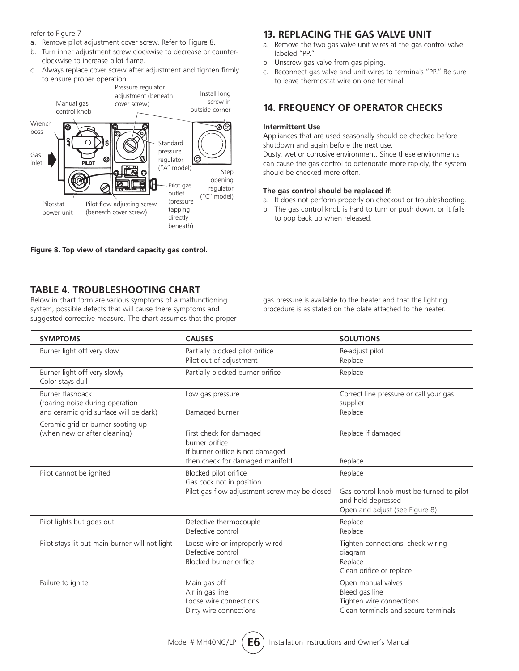refer to Figure 7.

- a. Remove pilot adjustment cover screw. Refer to Figure 8.
- b. Turn inner adjustment screw clockwise to decrease or counterclockwise to increase pilot flame.
- c. Always replace cover screw after adjustment and tighten firmly to ensure proper operation.



**Figure 8. Top view of standard capacity gas control.**

#### **13. REPLACING THE GAS VALVE UNIT**

- a. Remove the two gas valve unit wires at the gas control valve labeled "PP."
- b. Unscrew gas valve from gas piping.
- c. Reconnect gas valve and unit wires to terminals "PP." Be sure to leave thermostat wire on one terminal.

#### **14. FREQUENCY OF OPERATOR CHECKS**

#### **Intermittent Use**

Appliances that are used seasonally should be checked before shutdown and again before the next use.

Dusty, wet or corrosive environment. Since these environments can cause the gas control to deteriorate more rapidly, the system should be checked more often.

#### **The gas control should be replaced if:**

- a. It does not perform properly on checkout or troubleshooting.
- b. The gas control knob is hard to turn or push down, or it fails to pop back up when released.

#### **TABLE 4. TROUBLESHOOTING CHART**

Below in chart form are various symptoms of a malfunctioning system, possible defects that will cause there symptoms and suggested corrective measure. The chart assumes that the proper gas pressure is available to the heater and that the lighting procedure is as stated on the plate attached to the heater.

| <b>SYMPTOMS</b>                                                                               | <b>CAUSES</b>                                                                                                     | <b>SOLUTIONS</b>                                                                                            |
|-----------------------------------------------------------------------------------------------|-------------------------------------------------------------------------------------------------------------------|-------------------------------------------------------------------------------------------------------------|
| Burner light off very slow                                                                    | Partially blocked pilot orifice<br>Pilot out of adjustment                                                        | Re-adjust pilot<br>Replace                                                                                  |
| Burner light off very slowly<br>Color stays dull                                              | Partially blocked burner orifice                                                                                  | Replace                                                                                                     |
| Burner flashback<br>(roaring noise during operation<br>and ceramic grid surface will be dark) | Low gas pressure<br>Damaged burner                                                                                | Correct line pressure or call your gas<br>supplier<br>Replace                                               |
| Ceramic grid or burner sooting up<br>(when new or after cleaning)                             | First check for damaged<br>burner orifice<br>If burner orifice is not damaged<br>then check for damaged manifold. | Replace if damaged<br>Replace                                                                               |
| Pilot cannot be ignited                                                                       | Blocked pilot orifice<br>Gas cock not in position<br>Pilot gas flow adjustment screw may be closed                | Replace<br>Gas control knob must be turned to pilot<br>and held depressed<br>Open and adjust (see Figure 8) |
| Pilot lights but goes out                                                                     | Defective thermocouple<br>Defective control                                                                       | Replace<br>Replace                                                                                          |
| Pilot stays lit but main burner will not light                                                | Loose wire or improperly wired<br>Defective control<br>Blocked burner orifice                                     | Tighten connections, check wiring<br>diagram<br>Replace<br>Clean orifice or replace                         |
| Failure to ignite                                                                             | Main gas off<br>Air in gas line<br>Loose wire connections<br>Dirty wire connections                               | Open manual valves<br>Bleed gas line<br>Tighten wire connections<br>Clean terminals and secure terminals    |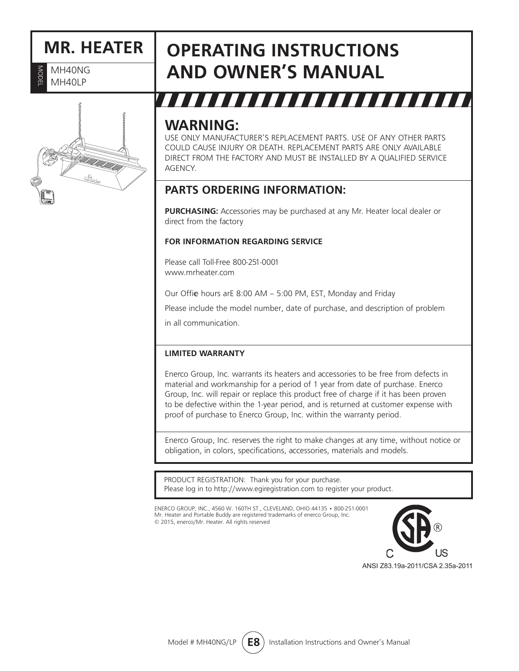# **MR. HEATER**<br>**E** MH40NG<br>RIMH40LP

MH40NG MH40LP



# **Operating Instructions and Owner's Manual**

# ,,,,,,,,,,,,,,,

### **WARNING:**

USE ONLY MANUFACTURER'S REPLACEMENT PARTS. USE OF ANY OTHER PARTS COULD CAUSE INJURY OR DEATH. REPLACEMENT PARTS ARE ONLY AVAILABLE DIRECT FROM THE FACTORY AND MUST BE INSTALLED BY A QUALIFIED SERVICE AGENCY.

### **PARTS ORDERING INFORMATION:**

**PURCHASING:** Accessories may be purchased at any Mr. Heater local dealer or direct from the factory

#### **FOR INFORMATION REGARDING SERVICE**

Please call Toll-Free 800-251-0001 www.mrheater.com

Our Offie hours arE 8:00 AM - 5:00 PM, EST, Monday and Friday

Please include the model number, date of purchase, and description of problem

in all communication.

#### **LIMITED WARRANTY**

Enerco Group, Inc. warrants its heaters and accessories to be free from defects in material and workmanship for a period of 1 year from date of purchase. Enerco Group, Inc. will repair or replace this product free of charge if it has been proven to be defective within the 1-year period, and is returned at customer expense with proof of purchase to Enerco Group, Inc. within the warranty period.

Enerco Group, Inc. reserves the right to make changes at any time, without notice or obligation, in colors, specifications, accessories, materials and models.

PRODUCT REGISTRATION: Thank you for your purchase. Please log in to http://www.egiregistration.com to register your product.

ENERCO GROUP, INC., 4560 W. 160TH ST., CLEVELAND, OHIO 44135 • 800-251-0001 Mr. Heater and Portable Buddy are registered trademarks of enerco Group, Inc. © 2015, enerco/Mr. Heater. All rights reserved

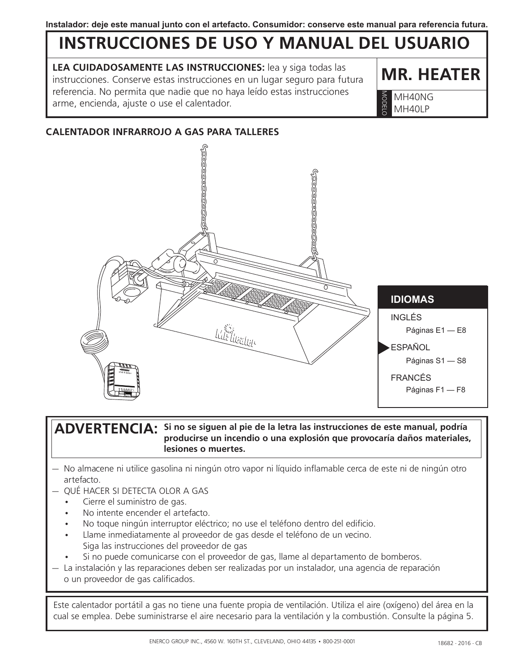# **INSTRUCCIONES DE USO Y MANUAL DEL USUARIO**

**LEA CUIDADOSAMENTE LAS INSTRUCCIONES:** lea y siga todas las instrucciones. Conserve estas instrucciones en un lugar seguro para futura referencia. No permita que nadie que no haya leído estas instrucciones arme, encienda, ajuste o use el calentador.<br>Arme, encienda, ajuste o use el calentador.

**MR. HEATER** 

MH40LP MODELO

#### **CALENTADOR INFRARROJO A GAS PARA TALLERES**



**Si no se siguen al pie de la letra las instrucciones de este manual, podría ADVERTENCIA: producirse un incendio o una explosión que provocaría daños materiales, lesiones o muertes.**

- No almacene ni utilice gasolina ni ningún otro vapor ni líquido inflamable cerca de este ni de ningún otro artefacto.
- — QUÉ HACER SI DETECTA OLOR A GAS
	- Cierre el suministro de gas.
	- No intente encender el artefacto.
	- No toque ningún interruptor eléctrico; no use el teléfono dentro del edificio.
	- Llame inmediatamente al proveedor de gas desde el teléfono de un vecino. Siga las instrucciones del proveedor de gas
	- Si no puede comunicarse con el proveedor de gas, llame al departamento de bomberos.
- $-$  La instalación y las reparaciones deben ser realizadas por un instalador, una agencia de reparación o un proveedor de gas calificados.

Este calentador portátil a gas no tiene una fuente propia de ventilación. Utiliza el aire (oxígeno) del área en la cual se emplea. Debe suministrarse el aire necesario para la ventilación y la combustión. Consulte la página 5.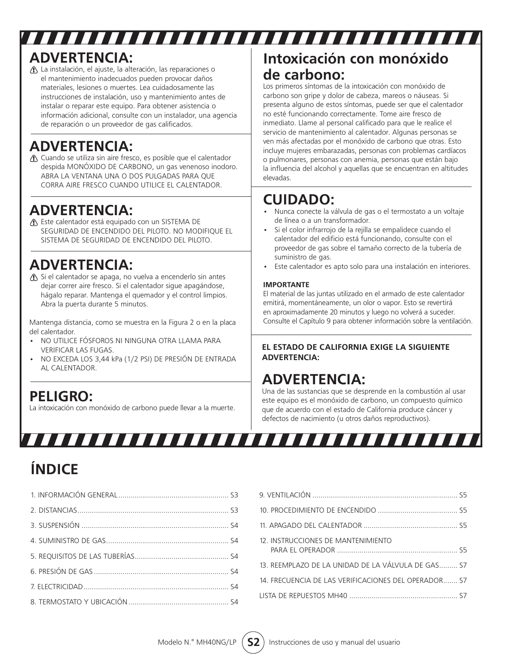# **ADVERTENCIA:**

 La instalación, el ajuste, la alteración, las reparaciones o el mantenimiento inadecuados pueden provocar daños materiales, lesiones o muertes. Lea cuidadosamente las instrucciones de instalación, uso y mantenimiento antes de instalar o reparar este equipo. Para obtener asistencia o información adicional, consulte con un instalador, una agencia de reparación o un proveedor de gas calificados.

# **ADVERTENCIA:**

 Cuando se utiliza sin aire fresco, es posible que el calentador despida MONÓXIDO DE CARBONO, un gas venenoso inodoro. ABRA LA VENTANA UNA O DOS PULGADAS PARA QUE CORRA AIRE FRESCO CUANDO UTILICE EL CALENTADOR.

### **ADVERTENCIA:**

 Este calentador está equipado con un SISTEMA DE SEGURIDAD DE ENCENDIDO DEL PILOTO. NO MODIFIQUE EL SISTEMA DE SEGURIDAD DE ENCENDIDO DEL PILOTO.

# **ADVERTENCIA:**

 Si el calentador se apaga, no vuelva a encenderlo sin antes dejar correr aire fresco. Si el calentador sigue apagándose, hágalo reparar. Mantenga el quemador y el control limpios. Abra la puerta durante 5 minutos.

Mantenga distancia, como se muestra en la Figura 2 o en la placa del calentador.

- NO UTILICE FÓSFOROS NI NINGUNA OTRA LLAMA PARA VERIFICAR LAS FUGAS.
- NO EXCEDA LOS 3,44 kPa (1/2 PSI) DE PRESIÓN DE ENTRADA AL CALENTADOR.

### **PELIGRO:**

La intoxicación con monóxido de carbono puede llevar a la muerte.

,,,,,,,,,,,,

# **Intoxicación con monóxido de carbono:**

Los primeros síntomas de la intoxicación con monóxido de carbono son gripe y dolor de cabeza, mareos o náuseas. Si presenta alguno de estos síntomas, puede ser que el calentador no esté funcionando correctamente. Tome aire fresco de inmediato. Llame al personal calificado para que le realice el servicio de mantenimiento al calentador. Algunas personas se ven más afectadas por el monóxido de carbono que otras. Esto incluye mujeres embarazadas, personas con problemas cardíacos o pulmonares, personas con anemia, personas que están bajo la influencia del alcohol y aquellas que se encuentran en altitudes elevadas.

# **CUIDADO:**

,,,,,,,,,,,,,,,,,,,,,,,,,,,,

- Nunca conecte la válvula de gas o el termostato a un voltaje de línea o a un transformador.
- Si el color infrarrojo de la rejilla se empalidece cuando el calentador del edificio está funcionando, consulte con el proveedor de gas sobre el tamaño correcto de la tubería de suministro de gas.
- Este calentador es apto solo para una instalación en interiores.

#### **IMPORTANTE**

El material de las juntas utilizado en el armado de este calentador emitirá, momentáneamente, un olor o vapor. Esto se revertirá en aproximadamente 20 minutos y luego no volverá a suceder. Consulte el Capítulo 9 para obtener información sobre la ventilación.

#### **EL ESTADO DE CALIFORNIA EXIGE LA SIGUIENTE ADVERTENCIA:**

# **ADVERTENCIA:**

Una de las sustancias que se desprende en la combustión al usar este equipo es el monóxido de carbono, un compuesto químico que de acuerdo con el estado de California produce cáncer y defectos de nacimiento (u otros daños reproductivos).

# **ÍNDICE**

| 12. INSTRUCCIONES DE MANTENIMIENTO                  |  |
|-----------------------------------------------------|--|
| 13 REEMPLAZO DE LA UNIDAD DE LA VÁIVULA DE GAS S7   |  |
| 14 FRECUENCIA DE LAS VERIFICACIONES DEL OPERADOR 57 |  |
| I ISTA DE REPUESTOS MH40 ST                         |  |
|                                                     |  |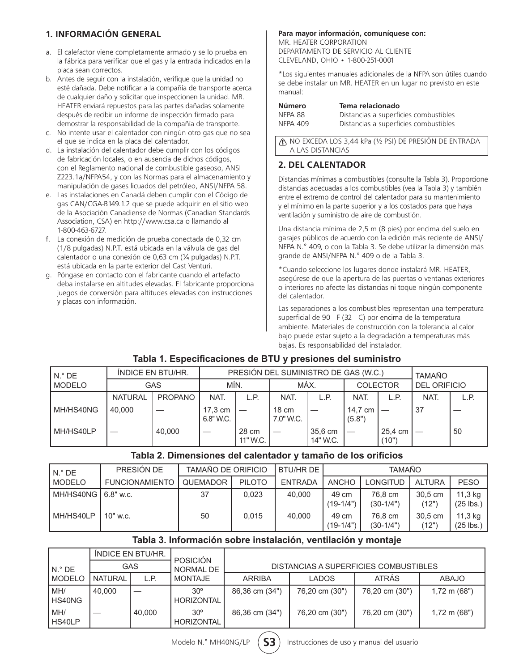#### **1. INFORMACIÓN GENERAL**

- a. El calefactor viene completamente armado y se lo prueba en la fábrica para verificar que el gas y la entrada indicados en la placa sean correctos.
- b. Antes de seguir con la instalación, verifique que la unidad no esté dañada. Debe notificar a la compañía de transporte acerca de cualquier daño y solicitar que inspeccionen la unidad. MR. HEATER enviará repuestos para las partes dañadas solamente después de recibir un informe de inspección firmado para demostrar la responsabilidad de la compañía de transporte.
- c. No intente usar el calentador con ningún otro gas que no sea el que se indica en la placa del calentador.
- d. La instalación del calentador debe cumplir con los códigos de fabricación locales, o en ausencia de dichos códigos, con el Reglamento nacional de combustible gaseoso, ANSI Z223.1a/NFPA54, y con las Normas para el almacenamiento y manipulación de gases licuados del petróleo, ANSI/NFPA 58.
- e. Las instalaciones en Canadá deben cumplir con el Código de gas CAN/CGA-B149.1.2 que se puede adquirir en el sitio web de la Asociación Canadiense de Normas (Canadian Standards Association, CSA) en http://www.csa.ca o llamando al 1-800-463-6727.
- f. La conexión de medición de prueba conectada de 0,32 cm (1/8 pulgadas) N.P.T. está ubicada en la válvula de gas del calentador o una conexión de 0,63 cm (¼ pulgadas) N.P.T. está ubicada en la parte exterior del Cast Venturi.
- g. Póngase en contacto con el fabricante cuando el artefacto deba instalarse en altitudes elevadas. El fabricante proporciona juegos de conversión para altitudes elevadas con instrucciones y placas con información.

#### **Para mayor información, comuníquese con:**

MR. HEATER CORPORATION DEPARTAMENTO DE SERVICIO AL CLIENTE CLEVELAND, OHIO • 1-800-251-0001

\*Los siguientes manuales adicionales de la NFPA son útiles cuando se debe instalar un MR. HEATER en un lugar no previsto en este manual:

| Número   | Tema relacionado                      |
|----------|---------------------------------------|
| NFPA 88  | Distancias a superficies combustibles |
| NFPA 409 | Distancias a superficies combustibles |

NO EXCEDA LOS 3,44 kPa (½ PSI) DE PRESIÓN DE ENTRADA A LAS DISTANCIAS

#### **2. DEL CALENTADOR**

Distancias mínimas a combustibles (consulte la Tabla 3). Proporcione distancias adecuadas a los combustibles (vea la Tabla 3) y también entre el extremo de control del calentador para su mantenimiento y el mínimo en la parte superior y a los costados para que haya ventilación y suministro de aire de combustión.

Una distancia mínima de 2,5 m (8 pies) por encima del suelo en garajes públicos de acuerdo con la edición más reciente de ANSI/ NFPA N.° 409, o con la Tabla 3. Se debe utilizar la dimensión más grande de ANSI/NFPA N.° 409 o de la Tabla 3.

\*Cuando seleccione los lugares donde instalará MR. HEATER, asegúrese de que la apertura de las puertas o ventanas exteriores o interiores no afecte las distancias ni toque ningún componente del calentador.

Las separaciones a los combustibles representan una temperatura superficial de 90 F (32 C) por encima de la temperatura ambiente. Materiales de construcción con la tolerancia al calor bajo puede estar sujeto a la degradación a temperaturas más bajas. Es responsabilidad del instalador.

#### **Tabla 1. Especificaciones de BTU y presiones del suministro**

| $N.$ ° DE     |                | INDICE EN BTU/HR. | PRESIÓN DEL SUMINISTRO DE GAS (W.C.) |                   |                              |                     |                   |                  | <b>TAMAÑO</b>       |      |
|---------------|----------------|-------------------|--------------------------------------|-------------------|------------------------------|---------------------|-------------------|------------------|---------------------|------|
| <b>MODELO</b> | <b>GAS</b>     |                   | MÍN.                                 |                   | MÁX.                         |                     | <b>COLECTOR</b>   |                  | <b>DEL ORIFICIO</b> |      |
|               | <b>NATURAL</b> | <b>PROPANO</b>    | NAT.                                 | L.P.              | <b>NAT</b>                   | L.P.                | NAT.              | L.P.             | NAT.                | L.P. |
| MH/HS40NG     | 40.000         |                   | 17.3 cm<br>6.8" W.C.                 |                   | $18 \text{ cm}$<br>7.0" W.C. |                     | 14.7 cm<br>(5.8") |                  | 37                  |      |
| MH/HS40LP     |                | 40.000            |                                      | 28 cm<br>11" W.C. |                              | 35,6 cm<br>14" W.C. |                   | 25.4 cm<br>(10") |                     | 50   |

#### **Tabla 2. Dimensiones del calentador y tamaño de los orificios**

| l N.º DE    | PRESIÓN DE            | TAMAÑO DE ORIFICIO |               | <b>BTU/HRDE</b> | TAMAÑO               |                        |                  |                        |
|-------------|-----------------------|--------------------|---------------|-----------------|----------------------|------------------------|------------------|------------------------|
| l MODELO    | <b>FUNCIONAMIENTO</b> | <b>QUEMADOR</b>    | <b>PILOTO</b> | <b>ENTRADA</b>  | <b>ANCHO</b>         | LONGITUD               | <b>ALTURA</b>    | <b>PESO</b>            |
| l MH/HS40NG | 6.8" w.c.             | 37                 | 0.023         | 40.000          | 49 cm<br>$(19-1/4")$ | 76.8 cm<br>$(30-1/4")$ | 30.5 cm<br>(12") | 11,3 kg<br>$(25$ lbs.) |
| MH/HS40LP   | $10"$ w.c.            | 50                 | 0.015         | 40,000          | 49 cm<br>$(19-1/4")$ | 76,8 cm<br>$(30-1/4")$ | 30.5 cm<br>(12") | 11,3 kg<br>$(25$ lbs.) |

#### **Tabla 3. Información sobre instalación, ventilación y montaje**

|               | INDICE EN BTU/HR. |        | <b>POSICIÓN</b>                   |                |                                       |                |                        |
|---------------|-------------------|--------|-----------------------------------|----------------|---------------------------------------|----------------|------------------------|
| $N.$ ° DE     | GAS               |        | NORMAL DE                         |                | DISTANCIAS A SUPERFICIES COMBUSTIBLES |                |                        |
| <b>MODELO</b> | <b>NATURAL</b>    | L.P.   | <b>MONTAJE</b>                    | <b>ARRIBA</b>  | <b>LADOS</b>                          | <b>ATRÁS</b>   | <b>ABAJO</b>           |
| MH/<br>HS40NG | 40.000            |        | $30^\circ$<br>HORIZONTAL          | 86,36 cm (34") | 76,20 cm (30")                        | 76,20 cm (30") | $1,72 \text{ m} (68")$ |
| MH/<br>HS40LP |                   | 40.000 | $30^{\circ}$<br><b>HORIZONTAL</b> | 86,36 cm (34") | 76,20 cm (30")                        | 76,20 cm (30") | $1,72 \text{ m} (68")$ |

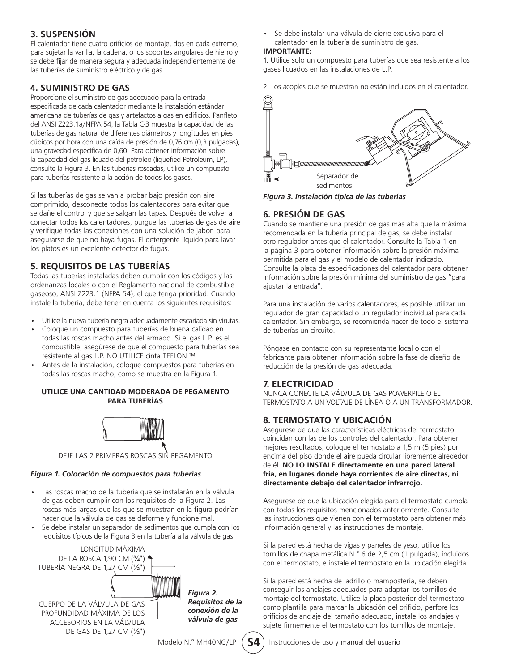#### **3. SUSPENSIÓN**

El calentador tiene cuatro orificios de montaje, dos en cada extremo, para sujetar la varilla, la cadena, o los soportes angulares de hierro y se debe fijar de manera segura y adecuada independientemente de las tuberías de suministro eléctrico y de gas.

#### **4. SUMINISTRO DE GAS**

Proporcione el suministro de gas adecuado para la entrada especificada de cada calentador mediante la instalación estándar americana de tuberías de gas y artefactos a gas en edificios. Panfleto del ANSI Z223.1a/NFPA 54, la Tabla C-3 muestra la capacidad de las tuberías de gas natural de diferentes diámetros y longitudes en pies cúbicos por hora con una caída de presión de 0,76 cm (0,3 pulgadas), una gravedad específica de 0,60. Para obtener información sobre la capacidad del gas licuado del petróleo (liquefied Petroleum, LP), consulte la Figura 3. En las tuberías roscadas, utilice un compuesto para tuberías resistente a la acción de todos los gases.

Si las tuberías de gas se van a probar bajo presión con aire comprimido, desconecte todos los calentadores para evitar que se dañe el control y que se salgan las tapas. Después de volver a conectar todos los calentadores, purgue las tuberías de gas de aire y verifique todas las conexiones con una solución de jabón para asegurarse de que no haya fugas. El detergente líquido para lavar los platos es un excelente detector de fugas.

#### **5. REQUISITOS DE LAS TUBERÍAS**

Todas las tuberías instaladas deben cumplir con los códigos y las ordenanzas locales o con el Reglamento nacional de combustible gaseoso, ANSI Z223.1 (NFPA 54), el que tenga prioridad. Cuando instale la tubería, debe tener en cuenta los siguientes requisitos:

- Utilice la nueva tubería negra adecuadamente escariada sin virutas.
- Coloque un compuesto para tuberías de buena calidad en todas las roscas macho antes del armado. Si el gas L.P. es el combustible, asegúrese de que el compuesto para tuberías sea resistente al gas L.P. NO UTILICE cinta TEFLON ™.
- Antes de la instalación, coloque compuestos para tuberías en todas las roscas macho, como se muestra en la Figura 1.

#### **UTILICE UNA CANTIDAD MODERADA DE PEGAMENTO PARA TUBERÍAS**



DEJE LAS 2 PRIMERAS ROSCAS SIN PEGAMENTO

#### *Figura 1. Colocación de compuestos para tuberías*

- Las roscas macho de la tubería que se instalarán en la válvula de gas deben cumplir con los requisitos de la Figura 2. Las roscas más largas que las que se muestran en la figura podrían hacer que la válvula de gas se deforme y funcione mal.
- Se debe instalar un separador de sedimentos que cumpla con los requisitos típicos de la Figura 3 en la tubería a la válvula de gas.



• Se debe instalar una válvula de cierre exclusiva para el calentador en la tubería de suministro de gas.

#### **IMPORTANTE:**

1. Utilice solo un compuesto para tuberías que sea resistente a los gases licuados en las instalaciones de L.P.

2. Los acoples que se muestran no están incluidos en el calentador.



*Figura 3. Instalación típica de las tuberías*

#### **6. PRESIÓN DE GAS**

Cuando se mantiene una presión de gas más alta que la máxima recomendada en la tubería principal de gas, se debe instalar otro regulador antes que el calentador. Consulte la Tabla 1 en la página 3 para obtener información sobre la presión máxima permitida para el gas y el modelo de calentador indicado. Consulte la placa de especificaciones del calentador para obtener información sobre la presión mínima del suministro de gas "para ajustar la entrada".

Para una instalación de varios calentadores, es posible utilizar un regulador de gran capacidad o un regulador individual para cada calentador. Sin embargo, se recomienda hacer de todo el sistema de tuberías un circuito.

Póngase en contacto con su representante local o con el fabricante para obtener información sobre la fase de diseño de reducción de la presión de gas adecuada.

#### **7. ELECTRICIDAD**

NUNCA CONECTE LA VÁLVULA DE GAS POWERPILE O EL TERMOSTATO A UN VOLTAJE DE LÍNEA O A UN TRANSFORMADOR.

#### **8. TERMOSTATO Y UBICACIÓN**

Asegúrese de que las características eléctricas del termostato coincidan con las de los controles del calentador. Para obtener mejores resultados, coloque el termostato a 1,5 m (5 pies) por encima del piso donde el aire pueda circular libremente alrededor de él. **NO LO INSTALE directamente en una pared lateral fría, en lugares donde haya corrientes de aire directas, ni directamente debajo del calentador infrarrojo.**

Asegúrese de que la ubicación elegida para el termostato cumpla con todos los requisitos mencionados anteriormente. Consulte las instrucciones que vienen con el termostato para obtener más información general y las instrucciones de montaje.

Si la pared está hecha de vigas y paneles de yeso, utilice los tornillos de chapa metálica N.° 6 de 2,5 cm (1 pulgada), incluidos con el termostato, e instale el termostato en la ubicación elegida.

Si la pared está hecha de ladrillo o mampostería, se deben conseguir los anclajes adecuados para adaptar los tornillos de montaje del termostato. Utilice la placa posterior del termostato como plantilla para marcar la ubicación del orificio, perfore los orificios de anclaje del tamaño adecuado, instale los anclajes y sujete firmemente el termostato con los tornillos de montaje.

Modelo N.º MH40NG/LP (S4) Instrucciones de uso y manual del usuario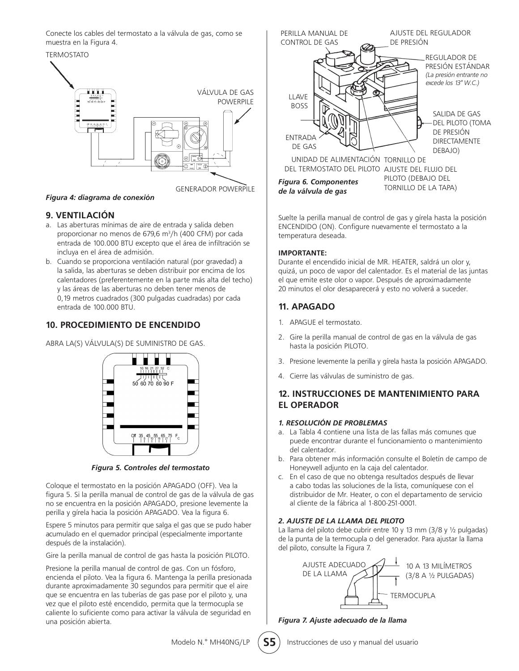Conecte los cables del termostato a la válvula de gas, como se muestra en la Figura 4.



*Figura 4: diagrama de conexión*

#### **9. VENTILACIÓN**

- a. Las aberturas mínimas de aire de entrada y salida deben proporcionar no menos de 679,6 m<sup>3</sup>/h (400 CFM) por cada entrada de 100.000 BTU excepto que el área de infiltración se incluya en el área de admisión.
- b. Cuando se proporciona ventilación natural (por gravedad) a la salida, las aberturas se deben distribuir por encima de los calentadores (preferentemente en la parte más alta del techo) y las áreas de las aberturas no deben tener menos de 0,19 metros cuadrados (300 pulgadas cuadradas) por cada entrada de 100.000 BTU.

#### **10. PROCEDIMIENTO DE ENCENDIDO**

ABRA LA(S) VÁLVULA(S) DE SUMINISTRO DE GAS.



*Figura 5. Controles del termostato*

Coloque el termostato en la posición APAGADO (OFF). Vea la figura 5. Si la perilla manual de control de gas de la válvula de gas no se encuentra en la posición APAGADO, presione levemente la perilla y gírela hacia la posición APAGADO. Vea la figura 6.

Espere 5 minutos para permitir que salga el gas que se pudo haber acumulado en el quemador principal (especialmente importante después de la instalación).

Gire la perilla manual de control de gas hasta la posición PILOTO.

Presione la perilla manual de control de gas. Con un fósforo, encienda el piloto. Vea la figura 6. Mantenga la perilla presionada durante aproximadamente 30 segundos para permitir que el aire que se encuentra en las tuberías de gas pase por el piloto y, una vez que el piloto esté encendido, permita que la termocupla se caliente lo suficiente como para activar la válvula de seguridad en una posición abierta.



Suelte la perilla manual de control de gas y gírela hasta la posición ENCENDIDO (ON). Configure nuevamente el termostato a la temperatura deseada.

#### **IMPORTANTE:**

Durante el encendido inicial de MR. HEATER, saldrá un olor y, quizá, un poco de vapor del calentador. Es el material de las juntas el que emite este olor o vapor. Después de aproximadamente 20 minutos el olor desaparecerá y esto no volverá a suceder.

#### **11. APAGADO**

- 1. APAGUE el termostato.
- 2. Gire la perilla manual de control de gas en la válvula de gas hasta la posición PILOTO.
- 3. Presione levemente la perilla y gírela hasta la posición APAGADO.
- 4. Cierre las válvulas de suministro de gas.

#### **12. INSTRUCCIONES DE MANTENIMIENTO PARA EL OPERADOR**

#### *1. RESOLUCIÓN DE PROBLEMAS*

- a. La Tabla 4 contiene una lista de las fallas más comunes que puede encontrar durante el funcionamiento o mantenimiento del calentador.
- b. Para obtener más información consulte el Boletín de campo de Honeywell adjunto en la caja del calentador.
- c. En el caso de que no obtenga resultados después de llevar a cabo todas las soluciones de la lista, comuníquese con el distribuidor de Mr. Heater, o con el departamento de servicio al cliente de la fábrica al 1-800-251-0001.

#### *2. AJUSTE DE LA LLAMA DEL PILOTO*

La llama del piloto debe cubrir entre 10 y 13 mm (3/8 y ½ pulgadas) de la punta de la termocupla o del generador. Para ajustar la llama del piloto, consulte la Figura 7.



*Figura 7. Ajuste adecuado de la llama*

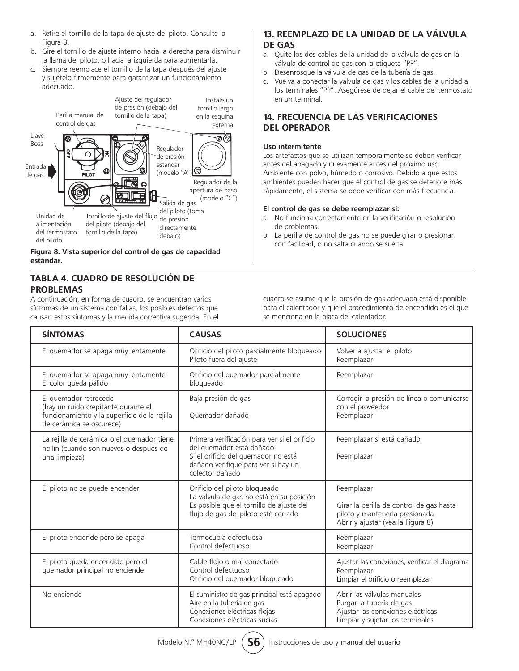- a. Retire el tornillo de la tapa de ajuste del piloto. Consulte la Figura 8.
- b. Gire el tornillo de ajuste interno hacia la derecha para disminuir la llama del piloto, o hacia la izquierda para aumentarla.
- c. Siempre reemplace el tornillo de la tapa después del ajuste y sujételo firmemente para garantizar un funcionamiento adecuado.





#### **TABLA 4. CUADRO DE RESOLUCIÓN DE PROBLEMAS**

A continuación, en forma de cuadro, se encuentran varios síntomas de un sistema con fallas, los posibles defectos que causan estos síntomas y la medida correctiva sugerida. En el

#### **13. REEMPLAZO DE LA UNIDAD DE LA VÁLVULA DE GAS**

- a. Quite los dos cables de la unidad de la válvula de gas en la válvula de control de gas con la etiqueta "PP".
- b. Desenrosque la válvula de gas de la tubería de gas.
- c. Vuelva a conectar la válvula de gas y los cables de la unidad a los terminales "PP". Asegúrese de dejar el cable del termostato en un terminal.

#### **14. FRECUENCIA DE LAS VERIFICACIONES DEL OPERADOR**

#### **Uso intermitente**

Los artefactos que se utilizan temporalmente se deben verificar antes del apagado y nuevamente antes del próximo uso. Ambiente con polvo, húmedo o corrosivo. Debido a que estos ambientes pueden hacer que el control de gas se deteriore más rápidamente, el sistema se debe verificar con más frecuencia.

#### **El control de gas se debe reemplazar si:**

- a. No funciona correctamente en la verificación o resolución de problemas.
- b. La perilla de control de gas no se puede girar o presionar con facilidad, o no salta cuando se suelta.

cuadro se asume que la presión de gas adecuada está disponible para el calentador y que el procedimiento de encendido es el que se menciona en la placa del calentador.

| <b>SÍNTOMAS</b>                                                                                                                          | <b>CAUSAS</b>                                                                                                                                                             | <b>SOLUCIONES</b>                                                                                                                |
|------------------------------------------------------------------------------------------------------------------------------------------|---------------------------------------------------------------------------------------------------------------------------------------------------------------------------|----------------------------------------------------------------------------------------------------------------------------------|
| El quemador se apaga muy lentamente                                                                                                      | Orificio del piloto parcialmente bloqueado<br>Piloto fuera del ajuste                                                                                                     | Volver a ajustar el piloto<br>Reemplazar                                                                                         |
| El quemador se apaga muy lentamente<br>El color queda pálido                                                                             | Orificio del quemador parcialmente<br>bloqueado                                                                                                                           | Reemplazar                                                                                                                       |
| El quemador retrocede<br>(hay un ruido crepitante durante el<br>funcionamiento y la superficie de la rejilla<br>de cerámica se oscurece) | Baja presión de gas<br>Ouemador dañado                                                                                                                                    | Corregir la presión de línea o comunicarse<br>con el proveedor<br>Reemplazar                                                     |
| La rejilla de cerámica o el quemador tiene<br>hollín (cuando son nuevos o después de<br>una limpieza)                                    | Primera verificación para ver si el orificio<br>del quemador está dañado<br>Si el orificio del quemador no está<br>dañado verifique para ver si hay un<br>colector dañado | Reemplazar si está dañado<br>Reemplazar                                                                                          |
| El piloto no se puede encender                                                                                                           | Orificio del piloto bloqueado<br>La válvula de gas no está en su posición<br>Es posible que el tornillo de ajuste del<br>flujo de gas del piloto esté cerrado             | Reemplazar<br>Girar la perilla de control de gas hasta<br>piloto y mantenerla presionada<br>Abrir y ajustar (vea la Figura 8)    |
| El piloto enciende pero se apaga                                                                                                         | Termocupla defectuosa<br>Control defectuoso                                                                                                                               | Reemplazar<br>Reemplazar                                                                                                         |
| El piloto queda encendido pero el<br>quemador principal no enciende                                                                      | Cable flojo o mal conectado<br>Control defectuoso<br>Orificio del quemador bloqueado                                                                                      | Ajustar las conexiones, verificar el diagrama<br>Reemplazar<br>Limpiar el orificio o reemplazar                                  |
| No enciende                                                                                                                              | El suministro de gas principal está apagado<br>Aire en la tubería de gas<br>Conexiones eléctricas flojas<br>Conexiones eléctricas sucias                                  | Abrir las válvulas manuales<br>Purgar la tubería de gas<br>Ajustar las conexiones eléctricas<br>Limpiar y sujetar los terminales |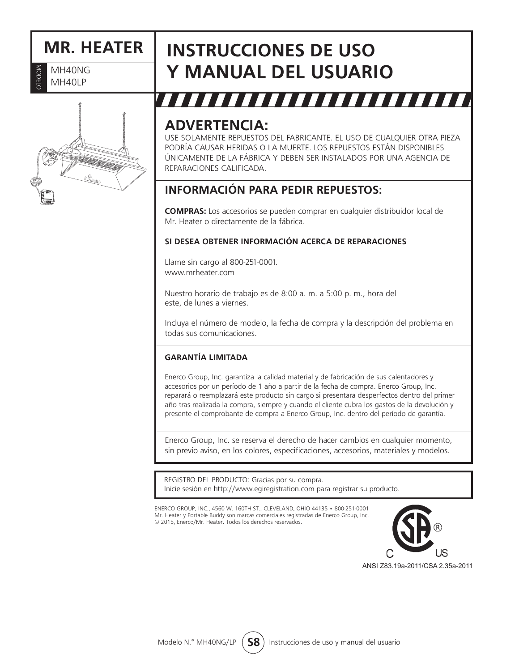# **MR. HEATER**

MODELO MH40NG NODELC MH40LP

# **INSTRUCCIONES DE USO Y MANUAL DEL USUARIO**

# ,,,,,,,,,,,,,,

### **ADVERTENCIA:**

USE SOLAMENTE REPUESTOS DEL FABRICANTE. EL USO DE CUALQUIER OTRA PIEZA PODRÍA CAUSAR HERIDAS O LA MUERTE. LOS REPUESTOS ESTÁN DISPONIBLES ÚNICAMENTE DE LA FÁBRICA Y DEBEN SER INSTALADOS POR UNA AGENCIA DE REPARACIONES CALIFICADA.

### **INFORMACIÓN PARA PEDIR REPUESTOS:**

**COMPRAS:** Los accesorios se pueden comprar en cualquier distribuidor local de Mr. Heater o directamente de la fábrica.

#### **SI DESEA OBTENER INFORMACIÓN ACERCA DE REPARACIONES**

Llame sin cargo al 800-251-0001. www.mrheater.com

Nuestro horario de trabajo es de 8:00 a. m. a 5:00 p. m., hora del este, de lunes a viernes.

Incluya el número de modelo, la fecha de compra y la descripción del problema en todas sus comunicaciones.

#### **GARANTÍA LIMITADA**

Enerco Group, Inc. garantiza la calidad material y de fabricación de sus calentadores y accesorios por un período de 1 año a partir de la fecha de compra. Enerco Group, Inc. reparará o reemplazará este producto sin cargo si presentara desperfectos dentro del primer año tras realizada la compra, siempre y cuando el cliente cubra los gastos de la devolución y presente el comprobante de compra a Enerco Group, Inc. dentro del período de garantía.

Enerco Group, Inc. se reserva el derecho de hacer cambios en cualquier momento, sin previo aviso, en los colores, especificaciones, accesorios, materiales y modelos.

REGISTRO DEL PRODUCTO: Gracias por su compra. Inicie sesión en http://www.egiregistration.com para registrar su producto.

ENERCO GROUP, INC., 4560 W. 160TH ST., CLEVELAND, OHIO 44135 • 800-251-0001 Mr. Heater y Portable Buddy son marcas comerciales registradas de Enerco Group, Inc. © 2015, Enerco/Mr. Heater. Todos los derechos reservados.

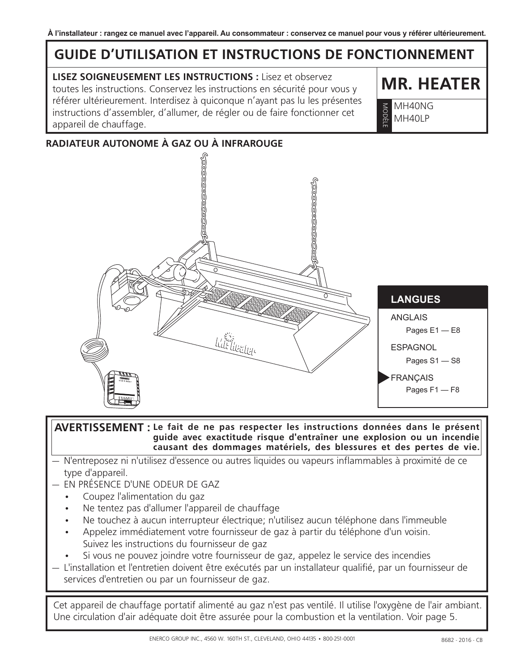# **GUIDE D'UTILISATION ET INSTRUCTIONS DE FONCTIONNEMENT**

**LISEZ SOIGNEUSEMENT LES INSTRUCTIONS :** Lisez et observez toutes les instructions. Conservez les instructions en sécurité pour vous y référer ultérieurement. Interdisez à quiconque n'ayant pas lu les présentes instructions d'assembler, d'allumer, de régler ou de faire fonctionner cet appareil de chauffage.

**MR. HEATER**

MH40NG MH40LP MODELI

#### **RADIATEUR AUTONOME À GAZ OU À INFRAROUGE**



#### $\overline{\mathsf{A}}$ VERTISSEMENT : Le fait de ne pas respecter les instructions données dans le présent **guide avec exactitude risque d'entraîner une explosion ou un incendie causant des dommages matériels, des blessures et des pertes de vie.**

- N'entreposez ni n'utilisez d'essence ou autres liquides ou vapeurs inflammables à proximité de ce type d'appareil.
- EN PRÉSENCE D'UNE ODEUR DE GAZ
	- Coupez l'alimentation du gaz
	- Ne tentez pas d'allumer l'appareil de chauffage
	- Ne touchez à aucun interrupteur électrique; n'utilisez aucun téléphone dans l'immeuble
	- Appelez immédiatement votre fournisseur de gaz à partir du téléphone d'un voisin. Suivez les instructions du fournisseur de gaz
	- Si vous ne pouvez joindre votre fournisseur de gaz, appelez le service des incendies
- L'installation et l'entretien doivent être exécutés par un installateur qualifié, par un fournisseur de services d'entretien ou par un fournisseur de gaz.

Cet appareil de chauffage portatif alimenté au gaz n'est pas ventilé. Il utilise l'oxygène de l'air ambiant. Une circulation d'air adéquate doit être assurée pour la combustion et la ventilation. Voir page 5.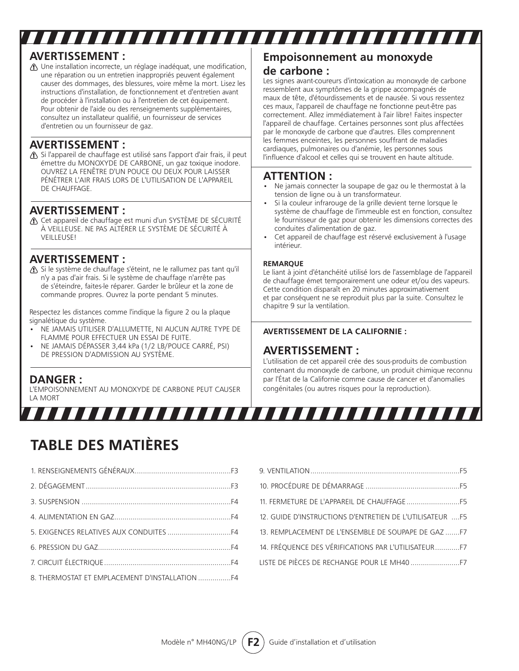### **AVERTISSEMENT :**

Une installation incorrecte, un réglage inadéquat, une modification, une réparation ou un entretien inappropriés peuvent également causer des dommages, des blessures, voire même la mort. Lisez les instructions d'installation, de fonctionnement et d'entretien avant de procéder à l'installation ou à l'entretien de cet équipement. Pour obtenir de l'aide ou des renseignements supplémentaires, consultez un installateur qualifié, un fournisseur de services d'entretien ou un fournisseur de gaz.

#### **AVERTISSEMENT :**

Si l'appareil de chauffage est utilisé sans l'apport d'air frais, il peut émettre du MONOXYDE DE CARBONE, un gaz toxique inodore. OUVREZ LA FENÊTRE D'UN POUCE OU DEUX POUR LAISSER PÉNÉTRER L'AIR FRAIS LORS DE L'UTILISATION DE L'APPAREIL DE CHAUFFAGE.

#### **AVERTISSEMENT :**

Cet appareil de chauffage est muni d'un SYSTÈME DE SÉCURITÉ À VEILLEUSE. NE PAS ALTÉRER LE SYSTÈME DE SÉCURITÉ À VEILLEUSE!

#### **AVERTISSEMENT :**

Si le système de chauffage s'éteint, ne le rallumez pas tant qu'il n'y a pas d'air frais. Si le système de chauffage n'arrête pas de s'éteindre, faites-le réparer. Garder le brûleur et la zone de commande propres. Ouvrez la porte pendant 5 minutes.

Respectez les distances comme l'indique la figure 2 ou la plaque signalétique du système.

- NE JAMAIS UTILISER D'ALLUMETTE, NI AUCUN AUTRE TYPE DE FLAMME POUR EFFECTUER UN ESSAI DE FUITE.
- NE JAMAIS DÉPASSER 3,44 kPa (1/2 LB/POUCE CARRÉ, PSI) DE PRESSION D'ADMISSION AU SYSTÈME.

#### **DANGER :**

L'EMPOISONNEMENT AU MONOXYDE DE CARBONE PEUT CAUSER LA MORT

#### **Empoisonnement au monoxyde de carbone :**

Les signes avant-coureurs d'intoxication au monoxyde de carbone ressemblent aux symptômes de la grippe accompagnés de maux de tête, d'étourdissements et de nausée. Si vous ressentez ces maux, l'appareil de chauffage ne fonctionne peut-être pas correctement. Allez immédiatement à l'air libre! Faites inspecter l'appareil de chauffage. Certaines personnes sont plus affectées par le monoxyde de carbone que d'autres. Elles comprennent les femmes enceintes, les personnes souffrant de maladies cardiaques, pulmonaires ou d'anémie, les personnes sous l'influence d'alcool et celles qui se trouvent en haute altitude.

#### **ATTENTION :**

,,,,,,,,,,,,,,,,,,,,,,,,,,

- Ne jamais connecter la soupape de gaz ou le thermostat à la tension de ligne ou à un transformateur.
- Si la couleur infrarouge de la grille devient terne lorsque le système de chauffage de l'immeuble est en fonction, consultez le fournisseur de gaz pour obtenir les dimensions correctes des conduites d'alimentation de gaz.
- Cet appareil de chauffage est réservé exclusivement à l'usage intérieur.

#### **REMARQUE**

,,,,,,,,,,,,,,,,,,,,,,,,

Le liant à joint d'étanchéité utilisé lors de l'assemblage de l'appareil de chauffage émet temporairement une odeur et/ou des vapeurs. Cette condition disparaît en 20 minutes approximativement et par conséquent ne se reproduit plus par la suite. Consultez le chapitre 9 sur la ventilation.

#### **AVERTISSEMENT DE LA CALIFORNIE :**

#### **AVERTISSEMENT :**

L'utilisation de cet appareil crée des sous-produits de combustion contenant du monoxyde de carbone, un produit chimique reconnu par l'État de la Californie comme cause de cancer et d'anomalies congénitales (ou autres risques pour la reproduction).

# **TABLE DES MATIÈRES**

| 8. THERMOSTAT ET EMPLACEMENT D'INSTALLATION F4 |  |
|------------------------------------------------|--|

| 12. GUIDE D'INSTRUCTIONS D'ENTRETIEN DE L'UTILISATEUR F5 |  |
|----------------------------------------------------------|--|
| 13. REMPLACEMENT DE L'ENSEMBLE DE SOUPAPE DE GAZF7       |  |
| 14. FRÉQUENCE DES VÉRIFICATIONS PAR L'UTILISATEURF7      |  |
|                                                          |  |
|                                                          |  |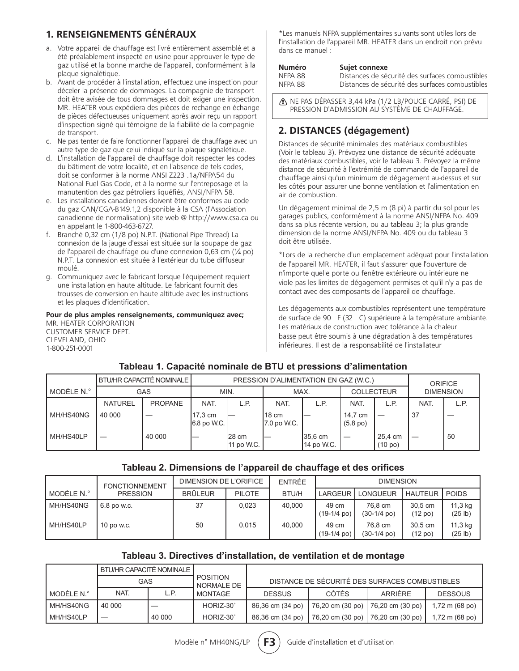#### **1. RENSEIGNEMENTS GÉNÉRAUX**

- a. Votre appareil de chauffage est livré entièrement assemblé et a été préalablement inspecté en usine pour approuver le type de gaz utilisé et la bonne marche de l'appareil, conformément à la plaque signalétique.
- b. Avant de procéder à l'installation, effectuez une inspection pour déceler la présence de dommages. La compagnie de transport doit être avisée de tous dommages et doit exiger une inspection. MR. HEATER vous expédiera des pièces de rechange en échange de pièces défectueuses uniquement après avoir reçu un rapport d'inspection signé qui témoigne de la fiabilité de la compagnie de transport.
- c. Ne pas tenter de faire fonctionner l'appareil de chauffage avec un autre type de gaz que celui indiqué sur la plaque signalétique.
- d. L'installation de l'appareil de chauffage doit respecter les codes du bâtiment de votre localité, et en l'absence de tels codes, doit se conformer à la norme ANSI Z223 .1a/NFPA54 du National Fuel Gas Code, et à la norme sur l'entreposage et la manutention des gaz pétroliers liquéfiés, ANSI/NFPA 58.
- e. Les installations canadiennes doivent être conformes au code du gaz CAN/CGA-B149.1,2 disponible à la CSA (l'Association canadienne de normalisation) site web @ http://www.csa.ca ou en appelant le 1-800-463-6727.
- f. Branché 0,32 cm (1/8 po) N.P.T. (National Pipe Thread) La connexion de la jauge d'essai est située sur la soupape de gaz de l'appareil de chauffage ou d'une connexion 0,63 cm (¼ po) N.P.T. La connexion est située à l'extérieur du tube diffuseur moulé.
- g. Communiquez avec le fabricant lorsque l'équipement requiert une installation en haute altitude. Le fabricant fournit des trousses de conversion en haute altitude avec les instructions et les plaques d'identification.

**Pour de plus amples renseignements, communiquez avec;** MR. HEATER CORPORATION CUSTOMER SERVICE DEPT. CLEVELAND, OHIO 1-800-251-0001

\*Les manuels NFPA supplémentaires suivants sont utiles lors de l'installation de l'appareil MR. HEATER dans un endroit non prévu dans ce manuel :

| <b>Numéro</b> | Sujet connexe                                   |
|---------------|-------------------------------------------------|
| NFPA 88       | Distances de sécurité des surfaces combustibles |
| NFPA 88       | Distances de sécurité des surfaces combustibles |

NE PAS DÉPASSER 3,44 kPa (1/2 LB/POUCE CARRÉ, PSI) DE PRESSION D'ADMISSION AU SYSTÈME DE CHAUFFAGE.

#### **2. DISTANCES (dégagement)**

Distances de sécurité minimales des matériaux combustibles (Voir le tableau 3). Prévoyez une distance de sécurité adéquate des matériaux combustibles, voir le tableau 3. Prévoyez la même distance de sécurité à l'extrémité de commande de l'appareil de chauffage ainsi qu'un minimum de dégagement au-dessus et sur les côtés pour assurer une bonne ventilation et l'alimentation en air de combustion.

Un dégagement minimal de 2,5 m (8 pi) à partir du sol pour les garages publics, conformément à la norme ANSI/NFPA No. 409 dans sa plus récente version, ou au tableau 3; la plus grande dimension de la norme ANSI/NFPA No. 409 ou du tableau 3 doit être utilisée.

\*Lors de la recherche d'un emplacement adéquat pour l'installation de l'appareil MR. HEATER, il faut s'assurer que l'ouverture de n'importe quelle porte ou fenêtre extérieure ou intérieure ne viole pas les limites de dégagement permises et qu'il n'y a pas de contact avec des composants de l'appareil de chauffage.

Les dégagements aux combustibles représentent une température de surface de 90 F (32 C) supérieure à la température ambiante. Les matériaux de construction avec tolérance à la chaleur basse peut être soumis à une dégradation à des températures inférieures. Il est de la responsabilité de l'installateur

#### **Tableau 1. Capacité nominale de BTU et pressions d'alimentation**

|            |                | BTU/HR CAPACITÉ NOMINALE I | PRESSION D'ALIMENTATION EN GAZ (W.C.) |                      |                       |                                 |                               |                    | <b>ORIFICE</b>   |      |
|------------|----------------|----------------------------|---------------------------------------|----------------------|-----------------------|---------------------------------|-------------------------------|--------------------|------------------|------|
| MODÈLE N.º |                | GAS                        | MIN.                                  |                      | MAX.                  |                                 | <b>COLLECTEUR</b>             |                    | <b>DIMENSION</b> |      |
|            | <b>NATUREL</b> | <b>PROPANE</b>             | NAT.                                  | L.P.                 | NAT.                  | L.P.                            | NAT.                          | L.P.               | NAT.             | L.P. |
| MH/HS40NG  | 40 000         |                            | 17,3 cm<br>6.8 po W.C.                |                      | l18 cm<br>7.0 po W.C. |                                 | 14,7 cm<br>$(5.8 \text{ po})$ |                    | -37              |      |
| MH/HS40LP  |                | 40 000                     |                                       | 128 cm<br>11 po W.C. |                       | $35.6 \text{ cm}$<br>14 po W.C. |                               | 25.4 cm<br>(10 po) |                  | 50   |

#### **Tableau 2. Dimensions de l'appareil de chauffage et des orifices**

|              | <b>FONCTIONNEMENT</b> | DIMENSION DE L'ORIFICE |               | ENTRÉE       |                                | <b>DIMENSION</b>          |                                |                    |
|--------------|-----------------------|------------------------|---------------|--------------|--------------------------------|---------------------------|--------------------------------|--------------------|
| l modèle N.° | <b>PRESSION</b>       | <b>BRÜLEUR</b>         | <b>PILOTE</b> | <b>BTU/H</b> | <b>LARGEUR</b>                 | LONGUEUR                  | <b>HAUTEUR</b>                 | <b>POIDS</b>       |
| I MH/HS40NG  | 6.8 po w.c.           | 37                     | 0.023         | 40.000       | 49 cm<br>$(19-1/4 \text{ po})$ | 76.8 cm<br>$(30-1/4)$ po) | 30.5 cm<br>(12 <sub>po</sub> ) | 11,3 kg<br>(25 lb) |
| I MH/HS40LP  | 10 po w.c.            | 50                     | 0.015         | 40.000       | 49 cm<br>$(19-1/4 \text{ po})$ | 76.8 cm<br>$(30-1/4)$ po) | 30.5 cm<br>(12 <sub>po</sub> ) | 11,3 kg<br>(25 lb) |

#### **Tableau 3. Directives d'installation, de ventilation et de montage**

|              | BTU/HR CAPACITÉ NOMINALE I |        |                        |                                                |                                     |         |                          |  |
|--------------|----------------------------|--------|------------------------|------------------------------------------------|-------------------------------------|---------|--------------------------|--|
|              | GAS                        |        | POSITION<br>NORMALE DE | DISTANCE DE SÉCURITÉ DES SURFACES COMBUSTIBLES |                                     |         |                          |  |
| l MODÈLE N.° | NAT.                       | L.P    | MONTAGE                | <b>DESSUS</b>                                  | <b>CÔTÉS</b>                        | ARRIÈRE | <b>DESSOUS</b>           |  |
| MH/HS40NG    | 40 000                     |        | HORIZ-30°              | 86,36 cm (34 po)                               | 76,20 cm (30 po)   76,20 cm (30 po) |         | $1,72 \text{ m}$ (68 po) |  |
| MH/HS40LP    |                            | 40 000 | HORIZ-30°              | 86.36 cm (34 po)                               | 76,20 cm (30 po)   76,20 cm (30 po) |         | 1,72 m (68 po)           |  |

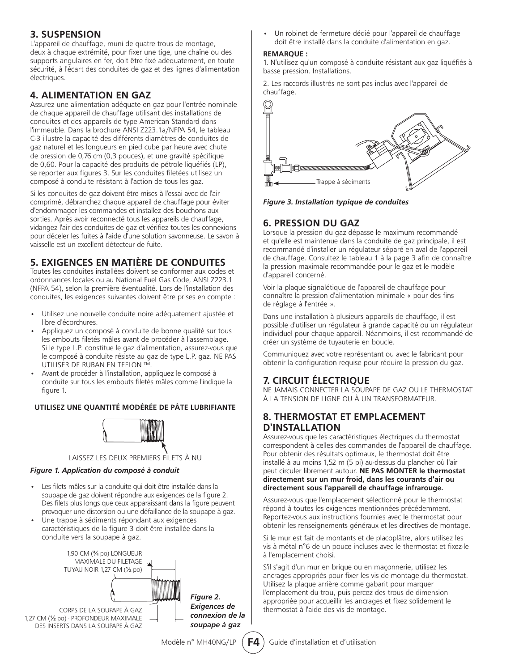#### **3. SUSPENSION**

L'appareil de chauffage, muni de quatre trous de montage, deux à chaque extrémité, pour fixer une tige, une chaîne ou des supports angulaires en fer, doit être fixé adéquatement, en toute sécurité, à l'écart des conduites de gaz et des lignes d'alimentation électriques.

#### **4. ALIMENTATION EN GAZ**

Assurez une alimentation adéquate en gaz pour l'entrée nominale de chaque appareil de chauffage utilisant des installations de conduites et des appareils de type American Standard dans l'immeuble. Dans la brochure ANSI Z223.1a/NFPA 54, le tableau C-3 illustre la capacité des différents diamètres de conduites de gaz naturel et les longueurs en pied cube par heure avec chute de pression de 0,76 cm (0,3 pouces), et une gravité spécifique de 0,60. Pour la capacité des produits de pétrole liquéfiés (LP), se reporter aux figures 3. Sur les conduites filetées utilisez un composé à conduite résistant à l'action de tous les gaz.

Si les conduites de gaz doivent être mises à l'essai avec de l'air comprimé, débranchez chaque appareil de chauffage pour éviter d'endommager les commandes et installez des bouchons aux sorties. Après avoir reconnecté tous les appareils de chauffage, vidangez l'air des conduites de gaz et vérifiez toutes les connexions pour déceler les fuites à l'aide d'une solution savonneuse. Le savon à vaisselle est un excellent détecteur de fuite.

#### **5. EXIGENCES EN MATIÈRE DE CONDUITES**

Toutes les conduites installées doivent se conformer aux codes et ordonnances locales ou au National Fuel Gas Code, ANSI Z223.1 (NFPA 54), selon la première éventualité. Lors de l'installation des conduites, les exigences suivantes doivent être prises en compte :

- Utilisez une nouvelle conduite noire adéquatement ajustée et libre d'écorchures.
- Appliquez un composé à conduite de bonne qualité sur tous les embouts filetés mâles avant de procéder à l'assemblage. Si le type L.P. constitue le gaz d'alimentation, assurez-vous que le composé à conduite résiste au gaz de type L.P. gaz. NE PAS UTILISER DE RUBAN EN TEFLON ™.
- Avant de procéder à l'installation, appliquez le composé à conduite sur tous les embouts filetés mâles comme l'indique la figure 1.

#### **UTILISEZ UNE QUANTITÉ MODÉRÉE DE PÂTE LUBRIFIANTE**



#### LAISSEZ LES DEUX PREMIERS FILETS À NU

#### *Figure 1. Application du composé à conduit*

- Les filets mâles sur la conduite qui doit être installée dans la soupape de gaz doivent répondre aux exigences de la figure 2. Des filets plus longs que ceux apparaissant dans la figure peuvent provoquer une distorsion ou une défaillance de la soupape à gaz.
- Une trappe à sédiments répondant aux exigences caractéristiques de la figure 3 doit être installée dans la conduite vers la soupape à gaz.



• Un robinet de fermeture dédié pour l'appareil de chauffage doit être installé dans la conduite d'alimentation en gaz.

#### **REMARQUE :**

1. N'utilisez qu'un composé à conduite résistant aux gaz liquéfiés à basse pression. Installations.

2. Les raccords illustrés ne sont pas inclus avec l'appareil de chauffage.



*Figure 3. Installation typique de conduites*

#### **6. PRESSION DU GAZ**

Lorsque la pression du gaz dépasse le maximum recommandé et qu'elle est maintenue dans la conduite de gaz principale, il est recommandé d'installer un régulateur séparé en aval de l'appareil de chauffage. Consultez le tableau 1 à la page 3 afin de connaître la pression maximale recommandée pour le gaz et le modèle d'appareil concerné.

Voir la plaque signalétique de l'appareil de chauffage pour connaître la pression d'alimentation minimale « pour des fins de réglage à l'entrée ».

Dans une installation à plusieurs appareils de chauffage, il est possible d'utiliser un régulateur à grande capacité ou un régulateur individuel pour chaque appareil. Néanmoins, il est recommandé de créer un système de tuyauterie en boucle.

Communiquez avec votre représentant ou avec le fabricant pour obtenir la configuration requise pour réduire la pression du gaz.

#### **7. CIRCUIT ÉLECTRIQUE**

NE JAMAIS CONNECTER LA SOUPAPE DE GAZ OU LE THERMOSTAT À LA TENSION DE LIGNE OU À UN TRANSFORMATEUR.

#### **8. THERMOSTAT ET EMPLACEMENT D'INSTALLATION**

Assurez-vous que les caractéristiques électriques du thermostat correspondent à celles des commandes de l'appareil de chauffage. Pour obtenir des résultats optimaux, le thermostat doit être installé à au moins 1,52 m (5 pi) au-dessus du plancher où l'air peut circuler librement autour. **NE PAS MONTER le thermostat directement sur un mur froid, dans les courants d'air ou directement sous l'appareil de chauffage infrarouge.**

Assurez-vous que l'emplacement sélectionné pour le thermostat répond à toutes les exigences mentionnées précédemment. Reportez-vous aux instructions fournies avec le thermostat pour obtenir les renseignements généraux et les directives de montage.

Si le mur est fait de montants et de placoplâtre, alors utilisez les vis à métal n°6 de un pouce incluses avec le thermostat et fixez-le à l'emplacement choisi.

S'il s'agit d'un mur en brique ou en maçonnerie, utilisez les ancrages appropriés pour fixer les vis de montage du thermostat. Utilisez la plaque arrière comme gabarit pour marquer l'emplacement du trou, puis percez des trous de dimension appropriée pour accueillir les ancrages et fixez solidement le thermostat à l'aide des vis de montage.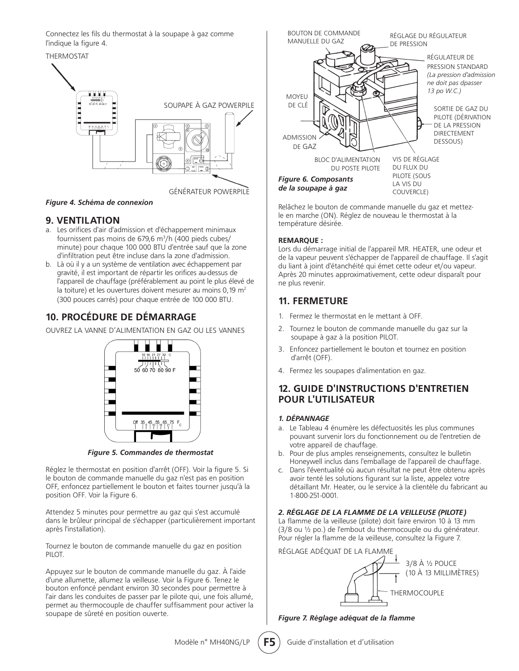Connectez les fils du thermostat à la soupape à gaz comme l'indique la figure 4.

# THERMOSTAT HН. SOUPAPE À GAZ POWERPILE GÉNÉRATEUR POWERPILE

#### *Figure 4. Schéma de connexion*

#### **9. VENTILATION**

- a. Les orifices d'air d'admission et d'échappement minimaux fournissent pas moins de 679,6 m<sup>3</sup>/h (400 pieds cubes/ minute) pour chaque 100 000 BTU d'entrée sauf que la zone d'infiltration peut être incluse dans la zone d'admission.
- b. Là où il y a un système de ventilation avec échappement par gravité, il est important de répartir les orifices au-dessus de l'appareil de chauffage (préférablement au point le plus élevé de la toiture) et les ouvertures doivent mesurer au moins  $0.19 \text{ m}^2$ (300 pouces carrés) pour chaque entrée de 100 000 BTU.

#### **10. PROCÉDURE DE DÉMARRAGE**

OUVREZ LA VANNE D'ALIMENTATION EN GAZ OU LES VANNES



*Figure 5. Commandes de thermostat*

Réglez le thermostat en position d'arrêt (OFF). Voir la figure 5. Si le bouton de commande manuelle du gaz n'est pas en position OFF, enfoncez partiellement le bouton et faites tourner jusqu'à la position OFF. Voir la Figure 6.

Attendez 5 minutes pour permettre au gaz qui s'est accumulé dans le brûleur principal de s'échapper (particulièrement important après l'installation).

Tournez le bouton de commande manuelle du gaz en position PILOT.

Appuyez sur le bouton de commande manuelle du gaz. À l'aide d'une allumette, allumez la veilleuse. Voir la Figure 6. Tenez le bouton enfoncé pendant environ 30 secondes pour permettre à l'air dans les conduites de passer par le pilote qui, une fois allumé, permet au thermocouple de chauffer suffisamment pour activer la soupape de sûreté en position ouverte.



Relâchez le bouton de commande manuelle du gaz et mettezle en marche (ON). Réglez de nouveau le thermostat à la température désirée.

#### **REMARQUE :**

Lors du démarrage initial de l'appareil MR. HEATER, une odeur et de la vapeur peuvent s'échapper de l'appareil de chauffage. Il s'agit du liant à joint d'étanchéité qui émet cette odeur et/ou vapeur. Après 20 minutes approximativement, cette odeur disparaît pour ne plus revenir.

#### **11. FERMETURE**

- 1. Fermez le thermostat en le mettant à OFF.
- 2. Tournez le bouton de commande manuelle du gaz sur la soupape à gaz à la position PILOT.
- 3. Enfoncez partiellement le bouton et tournez en position d'arrêt (OFF).
- 4. Fermez les soupapes d'alimentation en gaz.

#### **12. GUIDE D'INSTRUCTIONS D'ENTRETIEN POUR L'UTILISATEUR**

#### *1. DÉPANNAGE*

- a. Le Tableau 4 énumère les défectuosités les plus communes pouvant survenir lors du fonctionnement ou de l'entretien de votre appareil de chauffage.
- b. Pour de plus amples renseignements, consultez le bulletin Honeywell inclus dans l'emballage de l'appareil de chauffage.
- c. Dans l'éventualité où aucun résultat ne peut être obtenu après avoir tenté les solutions figurant sur la liste, appelez votre détaillant Mr. Heater, ou le service à la clientèle du fabricant au 1-800-251-0001.

#### *2. RÉGLAGE DE LA FLAMME DE LA VEILLEUSE (PILOTE)*

La flamme de la veilleuse (pilote) doit faire environ 10 à 13 mm (3/8 ou ½ po.) de l'embout du thermocouple ou du générateur. Pour régler la flamme de la veilleuse, consultez la Figure 7.

RÉGLAGE ADÉQUAT DE LA FLAMME



*Figure 7. Réglage adéquat de la flamme*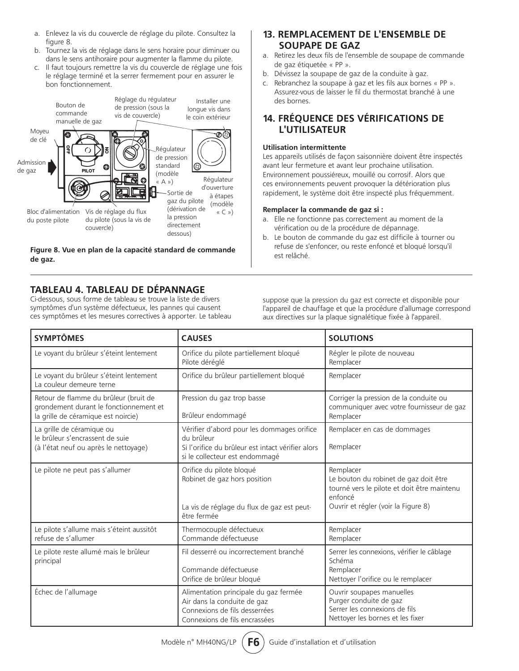- a. Enlevez la vis du couvercle de réglage du pilote. Consultez la figure 8.
- b. Tournez la vis de réglage dans le sens horaire pour diminuer ou dans le sens antihoraire pour augmenter la flamme du pilote.
- c. Il faut toujours remettre la vis du couvercle de réglage une fois le réglage terminé et la serrer fermement pour en assurer le bon fonctionnement.



**Figure 8. Vue en plan de la capacité standard de commande de gaz.**

#### **TABLEAU 4. TABLEAU DE DÉPANNAGE**

Ci-dessous, sous forme de tableau se trouve la liste de divers symptômes d'un système défectueux, les pannes qui causent ces symptômes et les mesures correctives à apporter. Le tableau

#### **13. REMPLACEMENT DE L'ENSEMBLE DE SOUPAPE DE GAZ**

- a. Retirez les deux fils de l'ensemble de soupape de commande de gaz étiquetée « PP ».
- b. Dévissez la soupape de gaz de la conduite à gaz.
- c. Rebranchez la soupape à gaz et les fils aux bornes « PP ». Assurez-vous de laisser le fil du thermostat branché à une des bornes.

#### **14. FRÉQUENCE DES VÉRIFICATIONS DE L'UTILISATEUR**

#### **Utilisation intermittente**

Les appareils utilisés de façon saisonnière doivent être inspectés avant leur fermeture et avant leur prochaine utilisation. Environnement poussiéreux, mouillé ou corrosif. Alors que ces environnements peuvent provoquer la détérioration plus rapidement, le système doit être inspecté plus fréquemment.

#### **Remplacer la commande de gaz si :**

- a. Elle ne fonctionne pas correctement au moment de la vérification ou de la procédure de dépannage.
- b. Le bouton de commande du gaz est difficile à tourner ou refuse de s'enfoncer, ou reste enfoncé et bloqué lorsqu'il est relâché.

suppose que la pression du gaz est correcte et disponible pour l'appareil de chauffage et que la procédure d'allumage correspond aux directives sur la plaque signalétique fixée à l'appareil.

| <b>SYMPTÔMES</b>                                                                                                       | <b>CAUSES</b>                                                                                                                                   | <b>SOLUTIONS</b>                                                                                                                                    |
|------------------------------------------------------------------------------------------------------------------------|-------------------------------------------------------------------------------------------------------------------------------------------------|-----------------------------------------------------------------------------------------------------------------------------------------------------|
| Le voyant du brûleur s'éteint lentement                                                                                | Orifice du pilote partiellement bloqué<br>Pilote déréglé                                                                                        | Régler le pilote de nouveau<br>Remplacer                                                                                                            |
| Le voyant du brûleur s'éteint lentement<br>La couleur demeure terne                                                    | Orifice du brûleur partiellement bloqué                                                                                                         | Remplacer                                                                                                                                           |
| Retour de flamme du brûleur (bruit de<br>grondement durant le fonctionnement et<br>la grille de céramique est noircie) | Pression du gaz trop basse<br>Brûleur endommagé                                                                                                 | Corriger la pression de la conduite ou<br>communiquer avec votre fournisseur de gaz<br>Remplacer                                                    |
| La grille de céramique ou<br>le brûleur s'encrassent de suie<br>(à l'état neuf ou après le nettoyage)                  | Vérifier d'abord pour les dommages orifice<br>du brûleur<br>Si l'orifice du brûleur est intact vérifier alors<br>si le collecteur est endommagé | Remplacer en cas de dommages<br>Remplacer                                                                                                           |
| Le pilote ne peut pas s'allumer                                                                                        | Orifice du pilote bloqué<br>Robinet de gaz hors position<br>La vis de réglage du flux de gaz est peut-<br>être fermée                           | Remplacer<br>Le bouton du robinet de gaz doit être<br>tourné vers le pilote et doit être maintenu<br>enfoncé<br>Ouvrir et régler (voir la Figure 8) |
| Le pilote s'allume mais s'éteint aussitôt<br>refuse de s'allumer                                                       | Thermocouple défectueux<br>Commande défectueuse                                                                                                 | Remplacer<br>Remplacer                                                                                                                              |
| Le pilote reste allumé mais le brûleur<br>principal                                                                    | Fil desserré ou incorrectement branché<br>Commande défectueuse<br>Orifice de brûleur bloqué                                                     | Serrer les connexions, vérifier le câblage<br>Schéma<br>Remplacer<br>Nettoyer l'orifice ou le remplacer                                             |
| Échec de l'allumage                                                                                                    | Alimentation principale du gaz fermée<br>Air dans la conduite de gaz<br>Connexions de fils desserrées<br>Connexions de fils encrassées          | Ouvrir soupapes manuelles<br>Purger conduite de gaz<br>Serrer les connexions de fils<br>Nettoyer les bornes et les fixer                            |